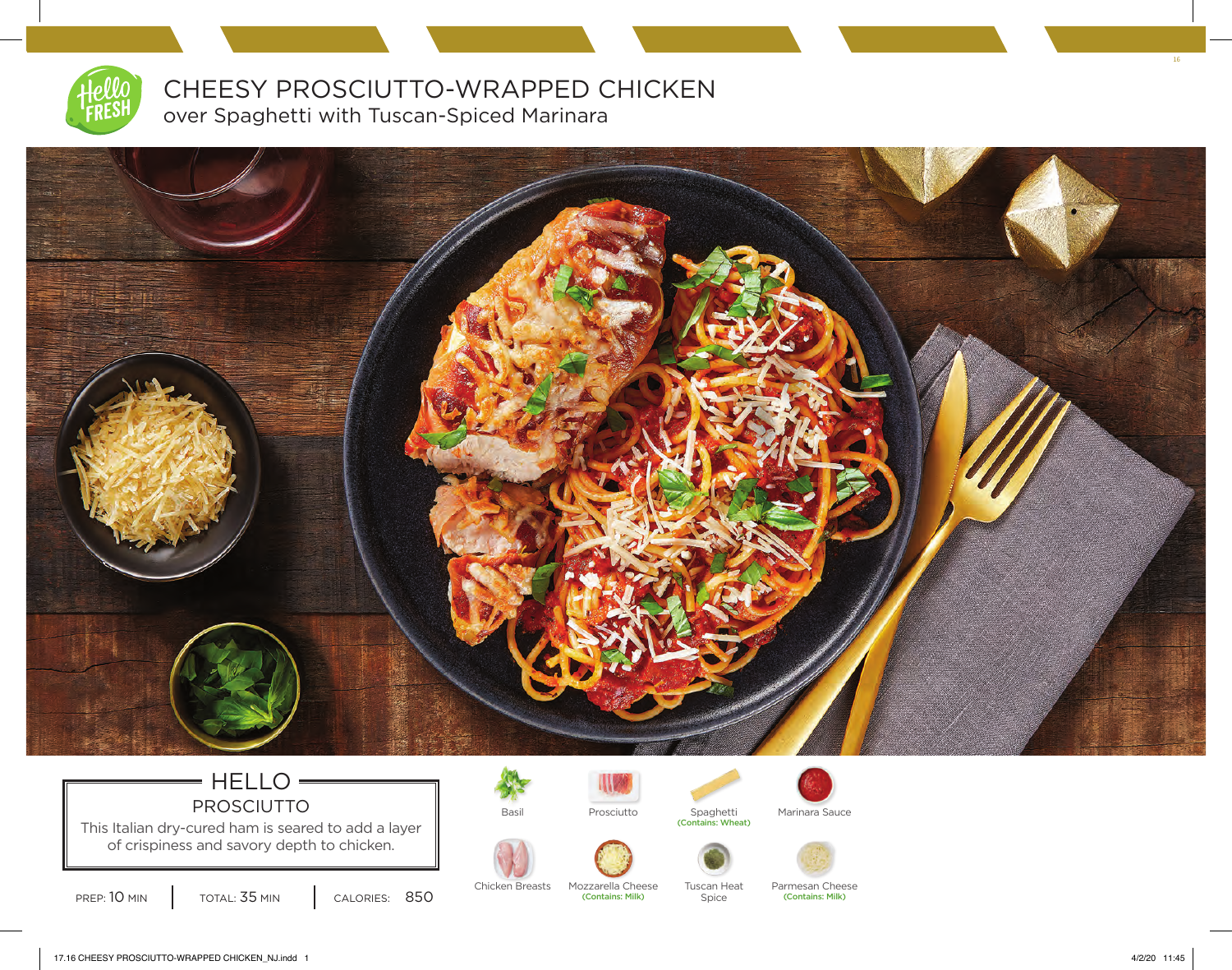

CHEESY PROSCIUTTO-WRAPPED CHICKEN over Spaghetti with Tuscan-Spiced Marinara



## $=$  HELLO $=$ PROSCIUTTO **Basil** Basil Prosciutto

This Italian dry-cured ham is seared to add a layer of crispiness and savory depth to chicken.

PREP: 10 MIN | TOTAL: 35 MIN | CALORIES: 850



Chicken Breasts Mozzarella Cheese Tuscan Heat

(Contains: Milk)



Prosciutto Spaghetti Marinara Sauce<br>
(Contains: Wheat)

Spice





Parmesan Cheese (Contains: Milk)

16